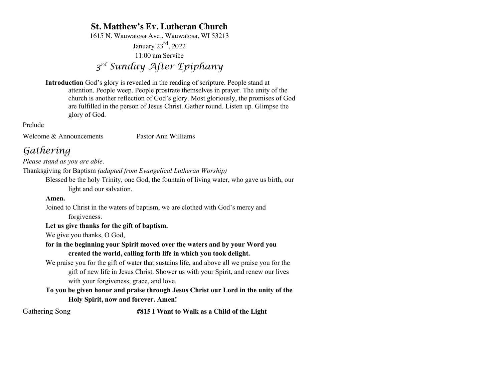# **St. Matthew's Ev. Lutheran Church**

1615 N. Wauwatosa Ave., Wauwatosa, WI 53213

January  $23^{\text{rd}}$ , 2022 11:00 am Service

*3rd Sunday After Epiphany*

**Introduction** God's glory is revealed in the reading of scripture. People stand at attention. People weep. People prostrate themselves in prayer. The unity of the church is another reflection of God's glory. Most gloriously, the promises of God are fulfilled in the person of Jesus Christ. Gather round. Listen up. Glimpse the glory of God.

Prelude

Welcome & Announcements Pastor Ann Williams

# *Gathering*

*Please stand as you are able.*

Thanksgiving for Baptism *(adapted from Evangelical Lutheran Worship)*

Blessed be the holy Trinity, one God, the fountain of living water, who gave us birth, our light and our salvation.

### **Amen.**

Joined to Christ in the waters of baptism, we are clothed with God's mercy and forgiveness.

## **Let us give thanks for the gift of baptism.**

We give you thanks, O God,

## **for in the beginning your Spirit moved over the waters and by your Word you created the world, calling forth life in which you took delight.**

We praise you for the gift of water that sustains life, and above all we praise you for the gift of new life in Jesus Christ. Shower us with your Spirit, and renew our lives with your forgiveness, grace, and love.

**To you be given honor and praise through Jesus Christ our Lord in the unity of the Holy Spirit, now and forever. Amen!**

Gathering Song **#815 I Want to Walk as a Child of the Light**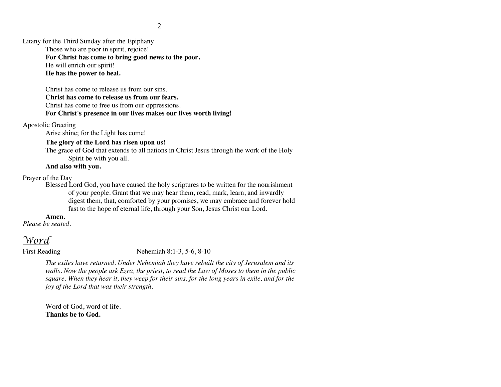Litany for the Third Sunday after the Epiphany

Those who are poor in spirit, rejoice!

**For Christ has come to bring good news to the poor.**

He will enrich our spirit!

**He has the power to heal.**

Christ has come to release us from our sins. **Christ has come to release us from our fears.** Christ has come to free us from our oppressions. **For Christ's presence in our lives makes our lives worth living!**

Apostolic Greeting

Arise shine; for the Light has come!

## **The glory of the Lord has risen upon us!**

The grace of God that extends to all nations in Christ Jesus through the work of the Holy Spirit be with you all.

# **And also with you.**

Prayer of the Day

Blessed Lord God, you have caused the holy scriptures to be written for the nourishment of your people. Grant that we may hear them, read, mark, learn, and inwardly digest them, that, comforted by your promises, we may embrace and forever hold fast to the hope of eternal life, through your Son, Jesus Christ our Lord.

### **Amen.**

*Please be seated.*

# *Word*

First Reading Nehemiah 8:1-3, 5-6, 8-10

*The exiles have returned. Under Nehemiah they have rebuilt the city of Jerusalem and its walls. Now the people ask Ezra, the priest, to read the Law of Moses to them in the public square. When they hear it, they weep for their sins, for the long years in exile, and for the joy of the Lord that was their strength.*

Word of God, word of life. **Thanks be to God.**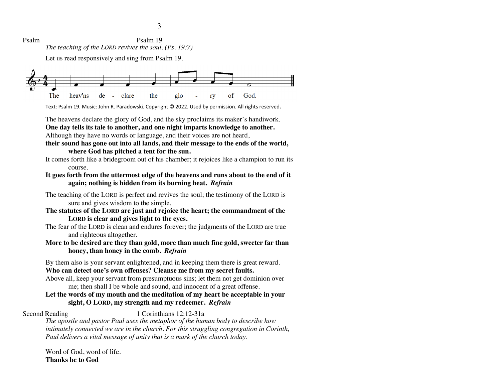Psalm Psalm 19 *The teaching of the LORD revives the soul. (Ps. 19:7)*

Let us read responsively and sing from Psalm 19.



Text: Psalm 19. Music: John R. Paradowski. Copyright © 2022. Used by permission. All rights reserved.

The heavens declare the glory of God, and the sky proclaims its maker's handiwork. **One day tells its tale to another, and one night imparts knowledge to another.**

Although they have no words or language, and their voices are not heard,

**their sound has gone out into all lands, and their message to the ends of the world, where God has pitched a tent for the sun.**

It comes forth like a bridegroom out of his chamber; it rejoices like a champion to run its course.

**It goes forth from the uttermost edge of the heavens and runs about to the end of it again; nothing is hidden from its burning heat.** *Refrain*

The teaching of the LORD is perfect and revives the soul; the testimony of the LORD is sure and gives wisdom to the simple.

**The statutes of the LORD are just and rejoice the heart; the commandment of the LORD is clear and gives light to the eyes.** 

The fear of the LORD is clean and endures forever; the judgments of the LORD are true and righteous altogether.

**More to be desired are they than gold, more than much fine gold, sweeter far than honey, than honey in the comb.** *Refrain*

By them also is your servant enlightened, and in keeping them there is great reward.

**Who can detect one's own offenses? Cleanse me from my secret faults.** 

Above all, keep your servant from presumptuous sins; let them not get dominion over me; then shall I be whole and sound, and innocent of a great offense.

## **Let the words of my mouth and the meditation of my heart be acceptable in your sight, O LORD, my strength and my redeemer.** *Refrain*

## Second Reading 1 Corinthians 12:12-31a

*The apostle and pastor Paul uses the metaphor of the human body to describe how intimately connected we are in the church. For this struggling congregation in Corinth, Paul delivers a vital message of unity that is a mark of the church today.*

Word of God, word of life. **Thanks be to God**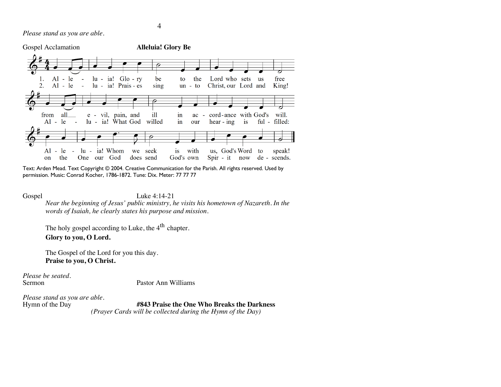

Text: Arden Mead. Text Copyright © 2004. Creative Communication for the Parish. All rights reserved. Used by permission. Music: Conrad Kocher, 1786-1872. Tune: Dix. Meter: 77 77 77

Gospel Luke 4:14-21

*Near the beginning of Jesus' public ministry, he visits his hometown of Nazareth. In the words of Isaiah, he clearly states his purpose and mission.*

The holy gospel according to Luke, the  $4<sup>th</sup>$  chapter. **Glory to you, O Lord.**

The Gospel of the Lord for you this day. **Praise to you, O Christ.**

*Please be seated.*

Pastor Ann Williams

*Please stand as you are able.*

#843 Praise the One Who Breaks the Darkness *(Prayer Cards will be collected during the Hymn of the Day)*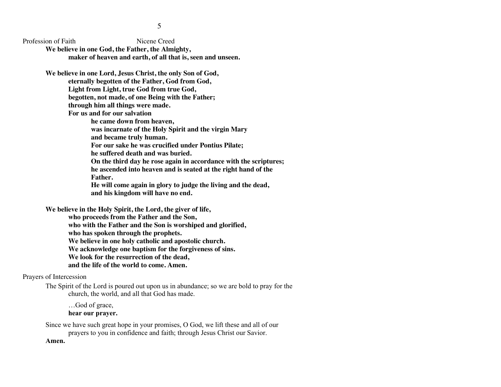Profession of Faith Nicene Creed

**We believe in one God, the Father, the Almighty, maker of heaven and earth, of all that is, seen and unseen.**

**We believe in one Lord, Jesus Christ, the only Son of God,** 

**eternally begotten of the Father, God from God,** 

**Light from Light, true God from true God,** 

**begotten, not made, of one Being with the Father;** 

**through him all things were made.**

**For us and for our salvation** 

**he came down from heaven,** 

**was incarnate of the Holy Spirit and the virgin Mary and became truly human.** 

**For our sake he was crucified under Pontius Pilate;** 

**he suffered death and was buried.** 

**On the third day he rose again in accordance with the scriptures; he ascended into heaven and is seated at the right hand of the Father.** 

**He will come again in glory to judge the living and the dead, and his kingdom will have no end.**

**We believe in the Holy Spirit, the Lord, the giver of life, who proceeds from the Father and the Son, who with the Father and the Son is worshiped and glorified, who has spoken through the prophets. We believe in one holy catholic and apostolic church. We acknowledge one baptism for the forgiveness of sins. We look for the resurrection of the dead, and the life of the world to come. Amen.**

### Prayers of Intercession

The Spirit of the Lord is poured out upon us in abundance; so we are bold to pray for the church, the world, and all that God has made.

…God of grace, **hear our prayer.**

Since we have such great hope in your promises, O God, we lift these and all of our prayers to you in confidence and faith; through Jesus Christ our Savior.

**Amen.**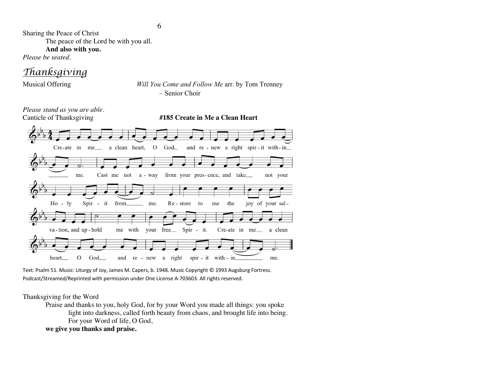Sharing the Peace of Christ The peace of the Lord be with you all. **And also with you.**

*Please be seated.*

# *Thanksgiving*

Musical Offering *Will You Come and Follow Me* arr. by Tom Trenney – Senior Choir



Text: Psalm 51. Music: Liturgy of Joy, James M. Capers, b. 1948. Music Copyright © 1993 Augsburg Fortress. Podcast/Streamed/Reprinted with permission under One License A-703603. All rights reserved.

#### Thanksgiving for the Word

Praise and thanks to you, holy God, for by your Word you made all things: you spoke light into darkness, called forth beauty from chaos, and brought life into being. For your Word of life, O God,

**we give you thanks and praise.**

6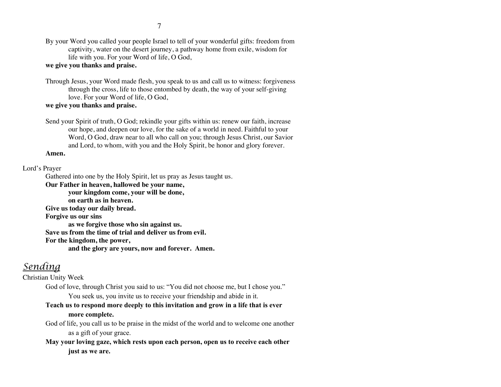By your Word you called your people Israel to tell of your wonderful gifts: freedom from captivity, water on the desert journey, a pathway home from exile, wisdom for life with you. For your Word of life, O God,

#### **we give you thanks and praise.**

Through Jesus, your Word made flesh, you speak to us and call us to witness: forgiveness through the cross, life to those entombed by death, the way of your self-giving love. For your Word of life, O God,

#### **we give you thanks and praise.**

Send your Spirit of truth, O God; rekindle your gifts within us: renew our faith, increase our hope, and deepen our love, for the sake of a world in need. Faithful to your Word, O God, draw near to all who call on you; through Jesus Christ, our Savior and Lord, to whom, with you and the Holy Spirit, be honor and glory forever.

#### **Amen.**

#### Lord's Prayer

Gathered into one by the Holy Spirit, let us pray as Jesus taught us.

**Our Father in heaven, hallowed be your name,** 

**your kingdom come, your will be done,** 

**on earth as in heaven.**

**Give us today our daily bread.** 

**Forgive us our sins** 

**as we forgive those who sin against us.** 

**Save us from the time of trial and deliver us from evil.**

**For the kingdom, the power,** 

**and the glory are yours, now and forever. Amen.**

# *Sending*

Christian Unity Week

God of love, through Christ you said to us: "You did not choose me, but I chose you." You seek us, you invite us to receive your friendship and abide in it.

**Teach us to respond more deeply to this invitation and grow in a life that is ever more complete.**

God of life, you call us to be praise in the midst of the world and to welcome one another as a gift of your grace.

**May your loving gaze, which rests upon each person, open us to receive each other just as we are.**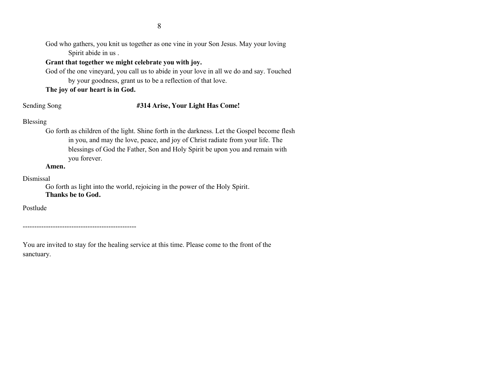God who gathers, you knit us together as one vine in your Son Jesus. May your loving Spirit abide in us .

### **Grant that together we might celebrate you with joy.**

God of the one vineyard, you call us to abide in your love in all we do and say. Touched by your goodness, grant us to be a reflection of that love.

### **The joy of our heart is in God.**

#### Sending Song **#314 Arise, Your Light Has Come!**

#### Blessing

Go forth as children of the light. Shine forth in the darkness. Let the Gospel become flesh in you, and may the love, peace, and joy of Christ radiate from your life. The blessings of God the Father, Son and Holy Spirit be upon you and remain with you forever.

#### **Amen.**

Dismissal

Go forth as light into the world, rejoicing in the power of the Holy Spirit. **Thanks be to God.**

Postlude

-------------------------------------------------

You are invited to stay for the healing service at this time. Please come to the front of the sanctuary.